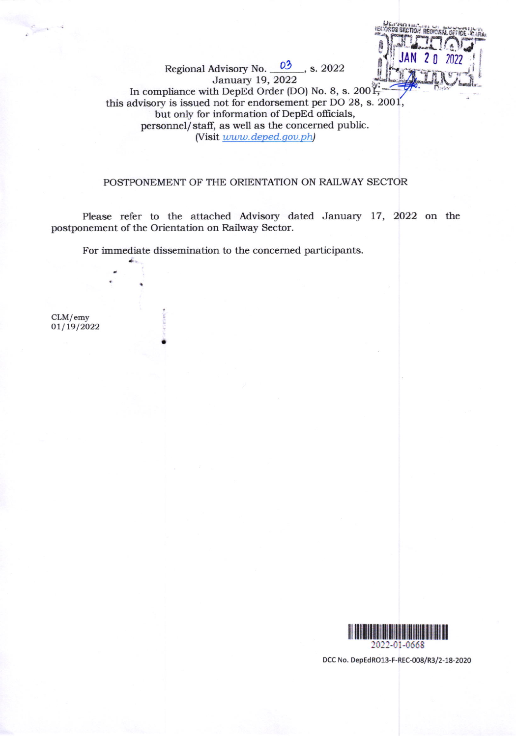ist

January 19, 2022 In compliance with DepEd Order (DO) No. 8, s. 2001 this advisory is issued not for endorsement per DO 28, s. 2001, but only for information of DepEd officials, personnel/staff, as well as the concerned public. (Visit www.deped.gov.ph)

Regional Advisory No. 03, s. 2022

## POSTPONEMENT OF THE ORIENTATION ON RAILWAY SECTOR

Please refer to the attached Advisory dated January 17, 2022 on the postponement of the Orientation on Railway Sector.

For immediate dissemination to the concerned participants.

 $CLM/emy$  $01/19/2022$ 



DCC No. DepEdRO13-F-REC-008/R3/2-18-2020